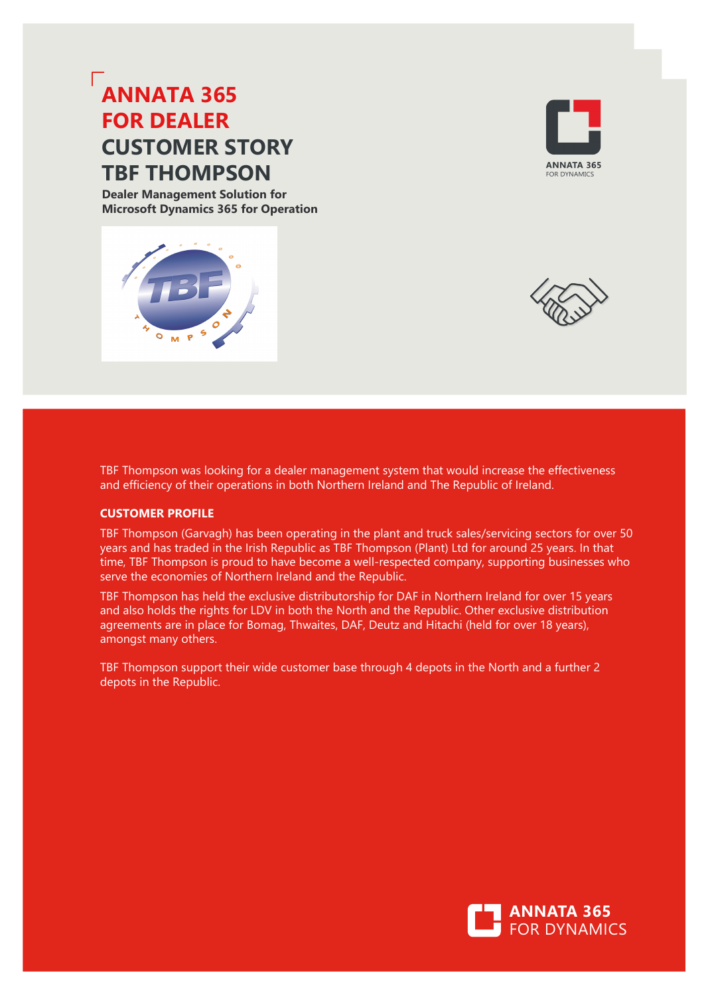# **ANNATA 365 FOR DEALER CUSTOMER STORY TBF THOMPSON**

**Dealer Management Solution for Microsoft Dynamics 365 for Operation**







TBF Thompson was looking for a dealer management system that would increase the effectiveness and efficiency of their operations in both Northern Ireland and The Republic of Ireland.

## **CUSTOMER PROFILE**

TBF Thompson (Garvagh) has been operating in the plant and truck sales/servicing sectors for over 50 years and has traded in the Irish Republic as TBF Thompson (Plant) Ltd for around 25 years. In that time, TBF Thompson is proud to have become a well-respected company, supporting businesses who serve the economies of Northern Ireland and the Republic.

TBF Thompson has held the exclusive distributorship for DAF in Northern Ireland for over 15 years and also holds the rights for LDV in both the North and the Republic. Other exclusive distribution agreements are in place for Bomag, Thwaites, DAF, Deutz and Hitachi (held for over 18 years), amongst many others.

TBF Thompson support their wide customer base through four depots in the North and a further two depots in the Republic.

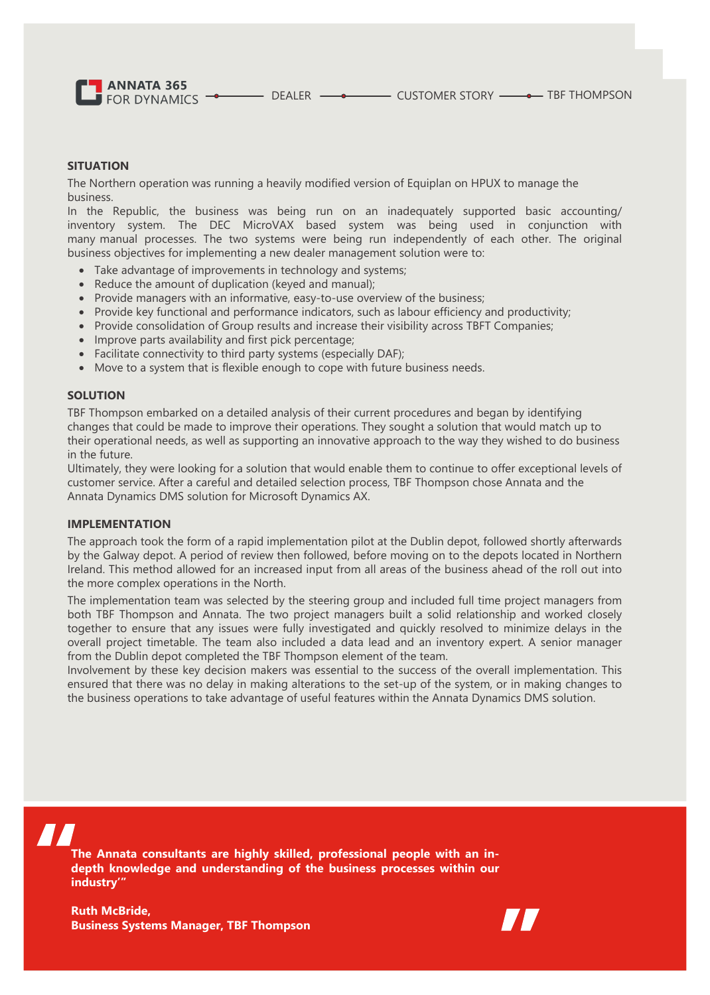**ANNATA 365** FOR DYNAMICS **-** DEALER **-** DEALER CUSTOMER STORY **-** TBF THOMPSON

## **SITUATION**

The Northern operation was running a heavily modified version of Equiplan on HPUX to manage the business. In the Republic, the business was being run on an inadequately supported basic accounting/ inventory system. The DEC MicroVAX based system was being used in conjunction with many manual processes. The two systems were being run independently of each other. The original business objectives for implementing a new dealer management solution were to:

- Take advantage of improvements in technology and systems;
- Reduce the amount of duplication (keyed and manual);
- Provide managers with an informative, easy-to-use overview of the business;
- Provide key functional and performance indicators, such as labour efficiency and productivity;
- Provide consolidation of Group results and increase their visibility across TBFT Companies;
- Improve parts availability and first pick percentage;
- Facilitate connectivity to third party systems (especially DAF);
- Move to a system that is flexible enough to cope with future business needs.

## **SOLUTION**

TBF Thompson embarked on a detailed analysis of their current procedures and began by identifying changes that could be made to improve their operations. They sought a solution that would match up to their operational needs, as well as supporting an innovative approach to the way they wished to do business in the future.

Ultimately, they were looking for a solution that would enable them to continue to offer exceptional levels of customer service. After a careful and detailed selection process, TBF Thompson chose Annata and the Annata Dynamics DMS solution for Microsoft Dynamics AX.

#### **IMPLEMENTATION**

The approach took the form of a rapid implementation pilot at the Dublin depot, followed shortly afterwards by the Galway depot. A period of review then followed, before moving on to the depots located in Northern Ireland. This method allowed for an increased input from all areas of the business ahead of the roll out into the more complex operations in the North.

The implementation team was selected by the steering group and included full time project managers from both TBF Thompson and Annata. The two project managers built a solid relationship and worked closely together to ensure that any issues were fully investigated and quickly resolved to minimize delays in the overall project timetable. The team also included a data lead and an inventory expert. A senior manager from the Dublin depot completed the TBF Thompson element of the team.

Involvement by these key decision makers was essential to the success of the overall implementation. This ensured that there was no delay in making alterations to the set-up of the system, or in making changes to the business operations to take advantage of useful features within the Annata Dynamics DMS solution.

**The Annata consultants are highly skilled, professional people with an indepth knowledge and understanding of the business processes within our industry'"**

**Ruth McBride, Business Systems Manager, TBF Thompson**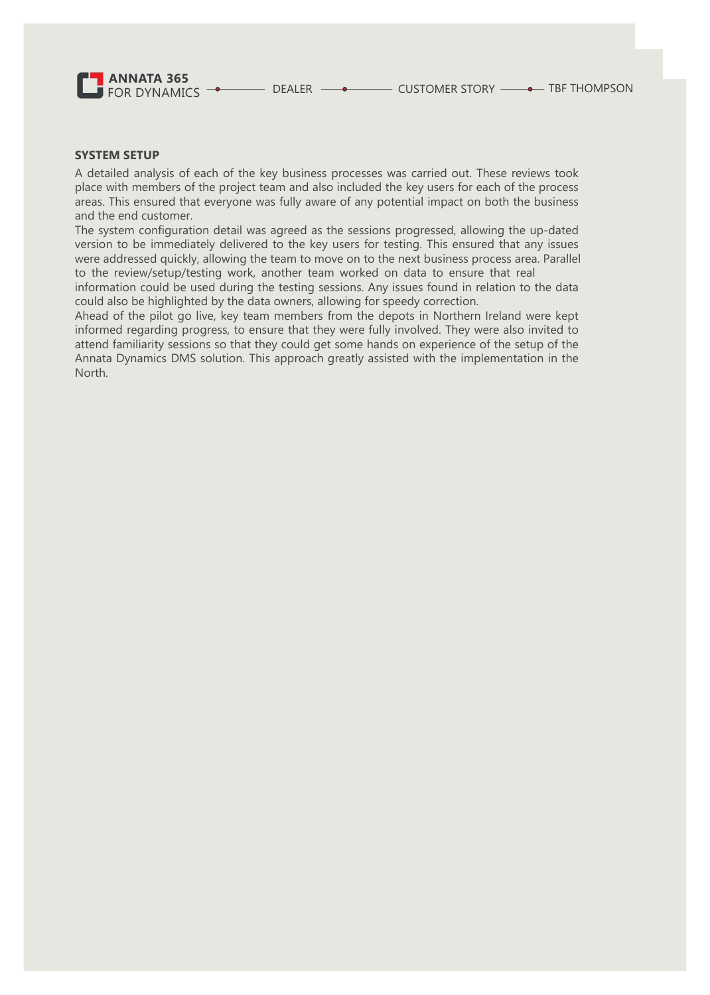**ANNATA 365** FOR DYNAMICS  $\overline{\phantom{a}}$ 

## **SYSTEM SETUP**

A detailed analysis of each of the key business processes was carried out. These reviews took place with members of the project team and also included the key users for each of the process areas. This ensured that everyone was fully aware of any potential impact on both the business and the end customer.

The system configuration detail was agreed as the sessions progressed, allowing the up-dated version to be immediately delivered to the key users for testing. This ensured that any issues were addressed quickly, allowing the team to move on to the next business process area. Parallel to the review/setup/testing work, another team worked on data to ensure that real

information could be used during the testing sessions. Any issues found in relation to the data could also be highlighted by the data owners, allowing for speedy correction.

Ahead of the pilot go live, key team members from the depots in Northern Ireland were kept informed regarding progress, to ensure that they were fully involved. They were also invited to attend familiarity sessions so that they could get some hands on experience of the setup of the Annata Dynamics DMS solution. This approach greatly assisted with the implementation in the North.